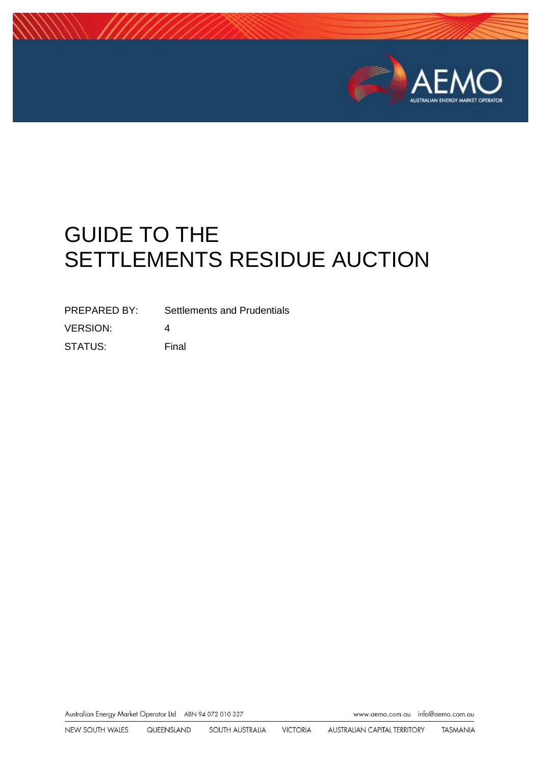

# <span id="page-0-0"></span>GUIDE TO THE SETTLEMENTS RESIDUE AUCTION

| PREPARED BY: | Settlements and Prudentials |
|--------------|-----------------------------|
| VERSION:     | Δ                           |
| STATUS:      | Final                       |

Australian Energy Market Operator Ltd ABN 94 072 010 327

www.aemo.com.au info@aemo.com.au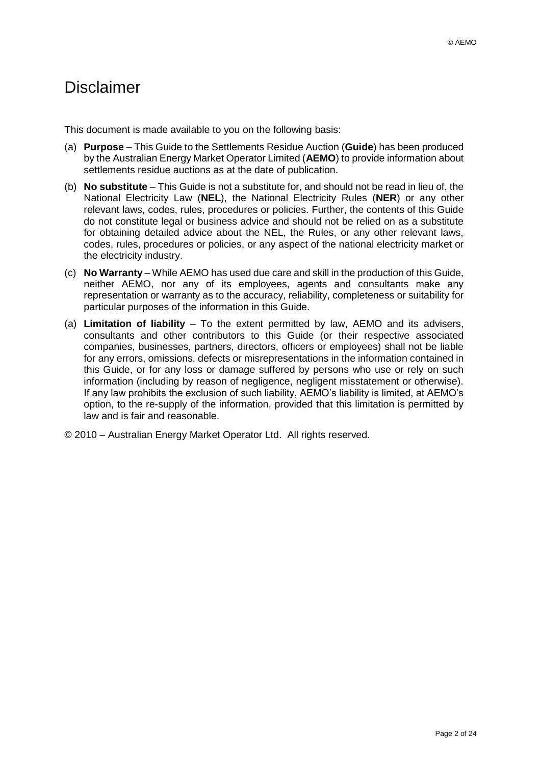## <span id="page-1-0"></span>Disclaimer

This document is made available to you on the following basis:

- (a) **Purpose**  This Guide to the Settlements Residue Auction (**Guide**) has been produced by the Australian Energy Market Operator Limited (**AEMO**) to provide information about settlements residue auctions as at the date of publication.
- (b) **No substitute** This Guide is not a substitute for, and should not be read in lieu of, the National Electricity Law (**NEL**), the National Electricity Rules (**NER**) or any other relevant laws, codes, rules, procedures or policies. Further, the contents of this Guide do not constitute legal or business advice and should not be relied on as a substitute for obtaining detailed advice about the NEL, the Rules, or any other relevant laws, codes, rules, procedures or policies, or any aspect of the national electricity market or the electricity industry.
- (c) **No Warranty** While AEMO has used due care and skill in the production of this Guide, neither AEMO, nor any of its employees, agents and consultants make any representation or warranty as to the accuracy, reliability, completeness or suitability for particular purposes of the information in this Guide.
- (a) **Limitation of liability**  To the extent permitted by law, AEMO and its advisers, consultants and other contributors to this Guide (or their respective associated companies, businesses, partners, directors, officers or employees) shall not be liable for any errors, omissions, defects or misrepresentations in the information contained in this Guide, or for any loss or damage suffered by persons who use or rely on such information (including by reason of negligence, negligent misstatement or otherwise). If any law prohibits the exclusion of such liability, AEMO's liability is limited, at AEMO's option, to the re-supply of the information, provided that this limitation is permitted by law and is fair and reasonable.
- © 2010 Australian Energy Market Operator Ltd. All rights reserved.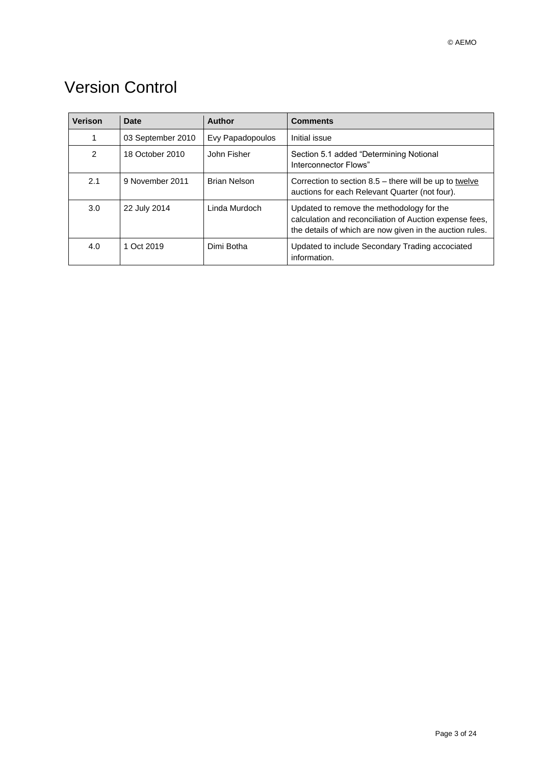## <span id="page-2-0"></span>Version Control

| Verison        | <b>Date</b>                    | Author           | <b>Comments</b>                                                                                                                                                  |
|----------------|--------------------------------|------------------|------------------------------------------------------------------------------------------------------------------------------------------------------------------|
|                | 03 September 2010              | Evy Papadopoulos | Initial issue                                                                                                                                                    |
| $\overline{2}$ | John Fisher<br>18 October 2010 |                  | Section 5.1 added "Determining Notional<br>Interconnector Flows"                                                                                                 |
| 2.1            | 9 November 2011                | Brian Nelson     | Correction to section $8.5$ – there will be up to twelve<br>auctions for each Relevant Quarter (not four).                                                       |
| 3.0            | 22 July 2014                   | Linda Murdoch    | Updated to remove the methodology for the<br>calculation and reconciliation of Auction expense fees,<br>the details of which are now given in the auction rules. |
| 4.0            | Oct 2019                       | Dimi Botha       | Updated to include Secondary Trading accociated<br>information.                                                                                                  |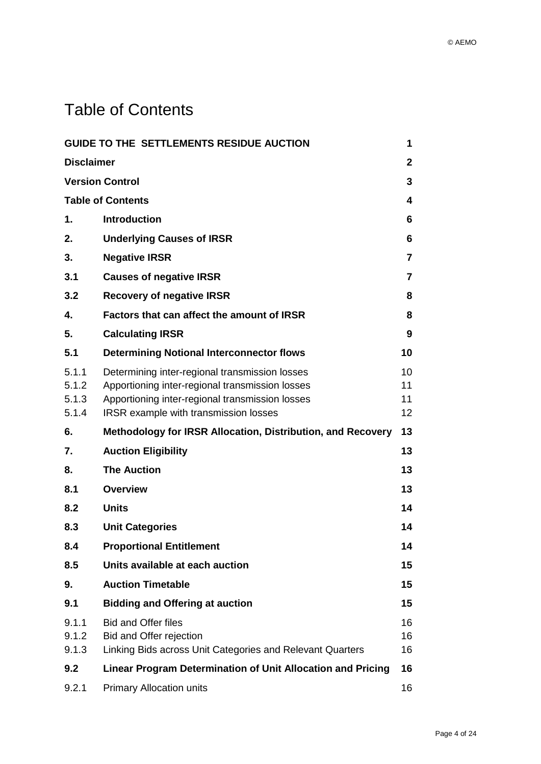## <span id="page-3-0"></span>Table of Contents

| <b>GUIDE TO THE SETTLEMENTS RESIDUE AUCTION</b><br>1 |                                                                                                                                                                                               |                      |
|------------------------------------------------------|-----------------------------------------------------------------------------------------------------------------------------------------------------------------------------------------------|----------------------|
| <b>Disclaimer</b><br>$\mathbf{2}$                    |                                                                                                                                                                                               |                      |
| <b>Version Control</b><br>3                          |                                                                                                                                                                                               |                      |
| <b>Table of Contents</b><br>4                        |                                                                                                                                                                                               |                      |
| 1.                                                   | <b>Introduction</b>                                                                                                                                                                           | 6                    |
| 2.                                                   | <b>Underlying Causes of IRSR</b>                                                                                                                                                              | 6                    |
| 3.                                                   | <b>Negative IRSR</b>                                                                                                                                                                          | 7                    |
| 3.1                                                  | <b>Causes of negative IRSR</b>                                                                                                                                                                | $\overline{7}$       |
| 3.2                                                  | <b>Recovery of negative IRSR</b>                                                                                                                                                              | 8                    |
| 4.                                                   | Factors that can affect the amount of IRSR                                                                                                                                                    | 8                    |
| 5.                                                   | <b>Calculating IRSR</b>                                                                                                                                                                       | 9                    |
| 5.1                                                  | <b>Determining Notional Interconnector flows</b>                                                                                                                                              | 10                   |
| 5.1.1<br>5.1.2<br>5.1.3<br>5.1.4                     | Determining inter-regional transmission losses<br>Apportioning inter-regional transmission losses<br>Apportioning inter-regional transmission losses<br>IRSR example with transmission losses | 10<br>11<br>11<br>12 |
| 6.                                                   | <b>Methodology for IRSR Allocation, Distribution, and Recovery</b>                                                                                                                            | 13                   |
| 7.                                                   | <b>Auction Eligibility</b>                                                                                                                                                                    | 13                   |
| 8.                                                   | <b>The Auction</b>                                                                                                                                                                            | 13                   |
| 8.1                                                  | <b>Overview</b>                                                                                                                                                                               | 13                   |
| 8.2                                                  | <b>Units</b>                                                                                                                                                                                  | 14                   |
| 8.3                                                  | <b>Unit Categories</b>                                                                                                                                                                        | 14                   |
| 8.4                                                  | <b>Proportional Entitlement</b>                                                                                                                                                               | 14                   |
| 8.5                                                  | Units available at each auction                                                                                                                                                               | 15                   |
| 9.                                                   | <b>Auction Timetable</b>                                                                                                                                                                      | 15                   |
| 9.1                                                  | <b>Bidding and Offering at auction</b>                                                                                                                                                        | 15                   |
| 9.1.1<br>9.1.2<br>9.1.3                              | <b>Bid and Offer files</b><br>Bid and Offer rejection<br>Linking Bids across Unit Categories and Relevant Quarters                                                                            | 16<br>16<br>16       |
| 9.2                                                  | Linear Program Determination of Unit Allocation and Pricing                                                                                                                                   | 16                   |
| 9.2.1                                                | <b>Primary Allocation units</b>                                                                                                                                                               | 16                   |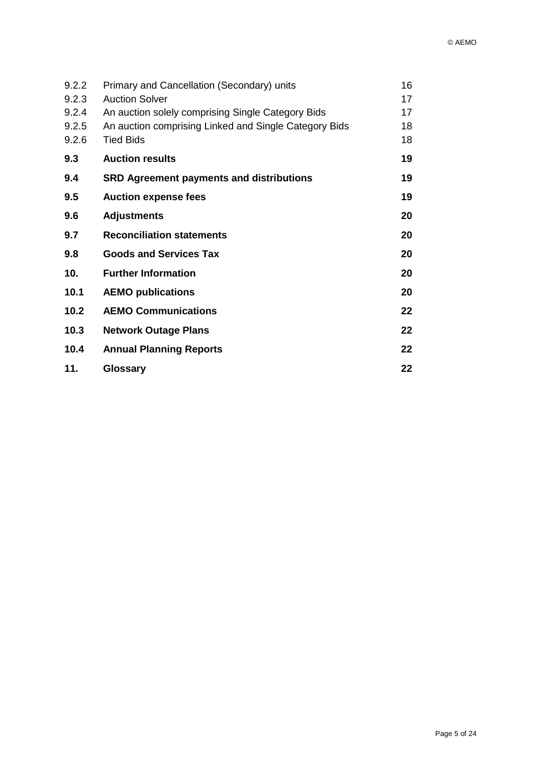| 9.2.2<br>9.2.3 | Primary and Cancellation (Secondary) units<br><b>Auction Solver</b> | 16<br>17 |
|----------------|---------------------------------------------------------------------|----------|
| 9.2.4          | An auction solely comprising Single Category Bids                   | 17       |
| 9.2.5          | An auction comprising Linked and Single Category Bids               | 18       |
| 9.2.6          | <b>Tied Bids</b>                                                    | 18       |
| 9.3            | <b>Auction results</b>                                              | 19       |
| 9.4            | <b>SRD Agreement payments and distributions</b>                     | 19       |
| 9.5            | <b>Auction expense fees</b>                                         | 19       |
| 9.6            | <b>Adjustments</b>                                                  | 20       |
| 9.7            | <b>Reconciliation statements</b>                                    | 20       |
| 9.8            | <b>Goods and Services Tax</b>                                       | 20       |
| 10.            | <b>Further Information</b>                                          | 20       |
| 10.1           | <b>AEMO publications</b>                                            | 20       |
| 10.2           | <b>AEMO Communications</b>                                          | 22       |
| 10.3           | <b>Network Outage Plans</b>                                         | 22       |
| 10.4           | <b>Annual Planning Reports</b>                                      | 22       |
| 11.            | <b>Glossary</b>                                                     | 22       |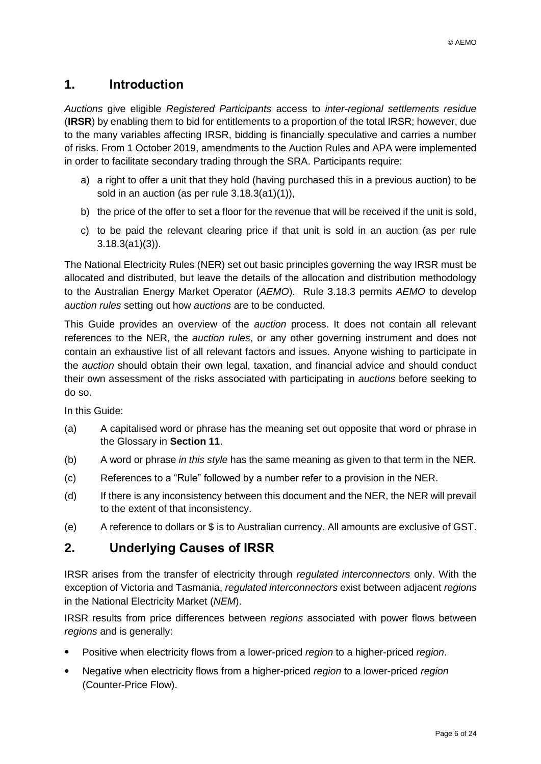## <span id="page-5-0"></span>**1. Introduction**

*Auctions* give eligible *Registered Participants* access to *inter-regional settlements residue* (**IRSR**) by enabling them to bid for entitlements to a proportion of the total IRSR; however, due to the many variables affecting IRSR, bidding is financially speculative and carries a number of risks. From 1 October 2019, amendments to the Auction Rules and APA were implemented in order to facilitate secondary trading through the SRA. Participants require:

- a) a right to offer a unit that they hold (having purchased this in a previous auction) to be sold in an auction (as per rule 3.18.3(a1)(1)),
- b) the price of the offer to set a floor for the revenue that will be received if the unit is sold,
- c) to be paid the relevant clearing price if that unit is sold in an auction (as per rule 3.18.3(a1)(3)).

The National Electricity Rules (NER) set out basic principles governing the way IRSR must be allocated and distributed, but leave the details of the allocation and distribution methodology to the Australian Energy Market Operator (*AEMO*). Rule 3.18.3 permits *AEMO* to develop *auction rules* setting out how *auctions* are to be conducted.

This Guide provides an overview of the *auction* process. It does not contain all relevant references to the NER, the *auction rules*, or any other governing instrument and does not contain an exhaustive list of all relevant factors and issues. Anyone wishing to participate in the *auction* should obtain their own legal, taxation, and financial advice and should conduct their own assessment of the risks associated with participating in *auctions* before seeking to do so.

In this Guide:

- (a) A capitalised word or phrase has the meaning set out opposite that word or phrase in the Glossary in **Section 11**.
- (b) A word or phrase *in this style* has the same meaning as given to that term in the NER*.*
- (c) References to a "Rule" followed by a number refer to a provision in the NER.
- (d) If there is any inconsistency between this document and the NER, the NER will prevail to the extent of that inconsistency.
- (e) A reference to dollars or \$ is to Australian currency. All amounts are exclusive of GST.

## <span id="page-5-1"></span>**2. Underlying Causes of IRSR**

IRSR arises from the transfer of electricity through *regulated interconnectors* only. With the exception of Victoria and Tasmania, *regulated interconnectors* exist between adjacent *regions* in the National Electricity Market (*NEM*).

IRSR results from price differences between *regions* associated with power flows between *regions* and is generally:

- Positive when electricity flows from a lower-priced *region* to a higher-priced *region*.
- Negative when electricity flows from a higher-priced *region* to a lower-priced *region* (Counter-Price Flow).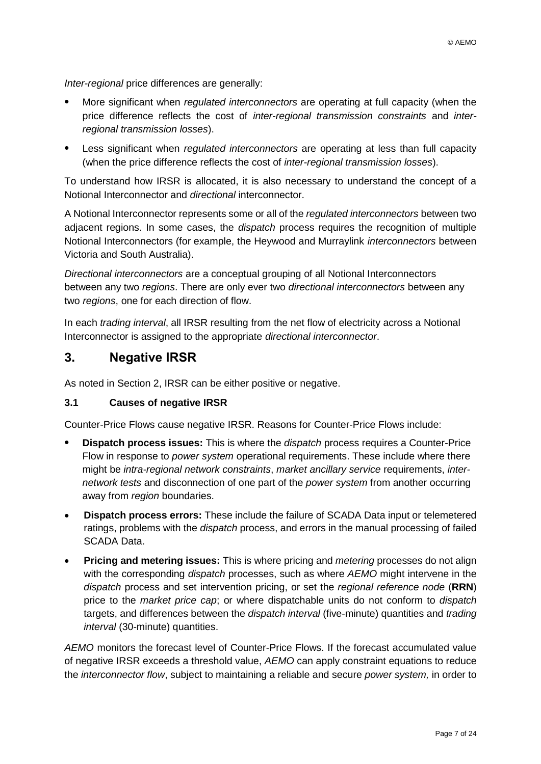*Inter-regional* price differences are generally:

- More significant when *regulated interconnectors* are operating at full capacity (when the price difference reflects the cost of *inter-regional transmission constraints* and *interregional transmission losses*).
- Less significant when *regulated interconnectors* are operating at less than full capacity (when the price difference reflects the cost of *inter-regional transmission losses*).

To understand how IRSR is allocated, it is also necessary to understand the concept of a Notional Interconnector and *directional* interconnector.

A Notional Interconnector represents some or all of the *regulated interconnectors* between two adjacent regions. In some cases, the *dispatch* process requires the recognition of multiple Notional Interconnectors (for example, the Heywood and Murraylink *interconnectors* between Victoria and South Australia).

*Directional interconnectors* are a conceptual grouping of all Notional Interconnectors between any two *regions*. There are only ever two *directional interconnectors* between any two *regions*, one for each direction of flow.

In each *trading interval*, all IRSR resulting from the net flow of electricity across a Notional Interconnector is assigned to the appropriate *directional interconnector*.

## <span id="page-6-0"></span>**3. Negative IRSR**

As noted in Section [2,](#page-5-1) IRSR can be either positive or negative.

## <span id="page-6-1"></span>**3.1 Causes of negative IRSR**

Counter-Price Flows cause negative IRSR. Reasons for Counter-Price Flows include:

- **Dispatch process issues:** This is where the *dispatch* process requires a Counter-Price Flow in response to *power system* operational requirements. These include where there might be *intra-regional network constraints*, *market ancillary service* requirements, *internetwork tests* and disconnection of one part of the *power system* from another occurring away from *region* boundaries.
- **Dispatch process errors:** These include the failure of SCADA Data input or telemetered ratings, problems with the *dispatch* process, and errors in the manual processing of failed SCADA Data.
- **Pricing and metering issues:** This is where pricing and *metering* processes do not align with the corresponding *dispatch* processes, such as where *AEMO* might intervene in the *dispatch* process and set intervention pricing, or set the *regional reference node* (**RRN**) price to the *market price cap*; or where dispatchable units do not conform to *dispatch* targets, and differences between the *dispatch interval* (five-minute) quantities and *trading interval* (30-minute) quantities.

*AEMO* monitors the forecast level of Counter-Price Flows. If the forecast accumulated value of negative IRSR exceeds a threshold value, *AEMO* can apply constraint equations to reduce the *interconnector flow*, subject to maintaining a reliable and secure *power system,* in order to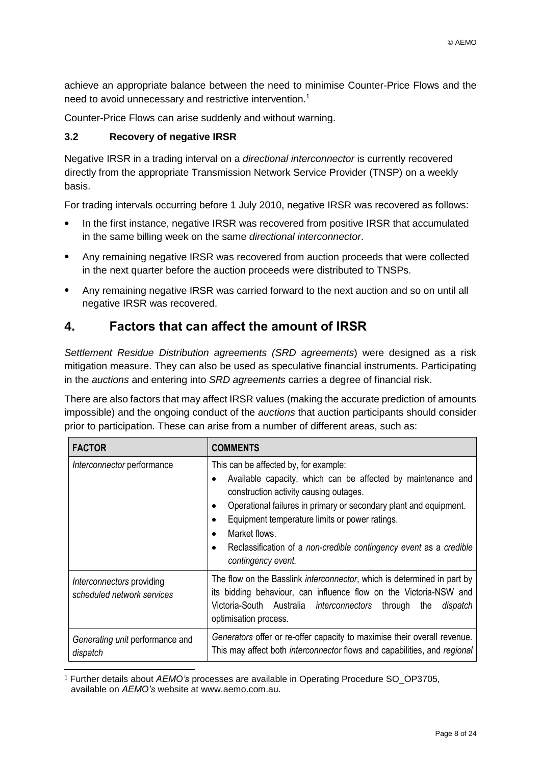achieve an appropriate balance between the need to minimise Counter-Price Flows and the need to avoid unnecessary and restrictive intervention.<sup>1</sup>

Counter-Price Flows can arise suddenly and without warning.

## <span id="page-7-0"></span>**3.2 Recovery of negative IRSR**

Negative IRSR in a trading interval on a *directional interconnector* is currently recovered directly from the appropriate Transmission Network Service Provider (TNSP) on a weekly basis.

For trading intervals occurring before 1 July 2010, negative IRSR was recovered as follows:

- In the first instance, negative IRSR was recovered from positive IRSR that accumulated in the same billing week on the same *directional interconnector*.
- Any remaining negative IRSR was recovered from auction proceeds that were collected in the next quarter before the auction proceeds were distributed to TNSPs.
- Any remaining negative IRSR was carried forward to the next auction and so on until all negative IRSR was recovered.

## <span id="page-7-1"></span>**4. Factors that can affect the amount of IRSR**

*Settlement Residue Distribution agreements (SRD agreements*) were designed as a risk mitigation measure. They can also be used as speculative financial instruments. Participating in the *auctions* and entering into *SRD agreements* carries a degree of financial risk.

There are also factors that may affect IRSR values (making the accurate prediction of amounts impossible) and the ongoing conduct of the *auctions* that auction participants should consider prior to participation. These can arise from a number of different areas, such as:

| <b>FACTOR</b>                                           | <b>COMMENTS</b>                                                                                                                                                                                                                                                                                                                                                                     |
|---------------------------------------------------------|-------------------------------------------------------------------------------------------------------------------------------------------------------------------------------------------------------------------------------------------------------------------------------------------------------------------------------------------------------------------------------------|
| Interconnector performance                              | This can be affected by, for example:<br>Available capacity, which can be affected by maintenance and<br>construction activity causing outages.<br>Operational failures in primary or secondary plant and equipment.<br>Equipment temperature limits or power ratings.<br>Market flows.<br>Reclassification of a non-credible contingency event as a credible<br>contingency event. |
| Interconnectors providing<br>scheduled network services | The flow on the Basslink <i>interconnector</i> , which is determined in part by<br>its bidding behaviour, can influence flow on the Victoria-NSW and<br>Victoria-South Australia interconnectors<br>through<br>dispatch<br>the<br>optimisation process.                                                                                                                             |
| Generating unit performance and<br>dispatch             | Generators offer or re-offer capacity to maximise their overall revenue.<br>This may affect both <i>interconnector</i> flows and capabilities, and regional                                                                                                                                                                                                                         |

 $\overline{a}$ <sup>1</sup> Further details about *AEMO's* processes are available in Operating Procedure SO\_OP3705, available on *AEMO's* website at www.aemo.com.au.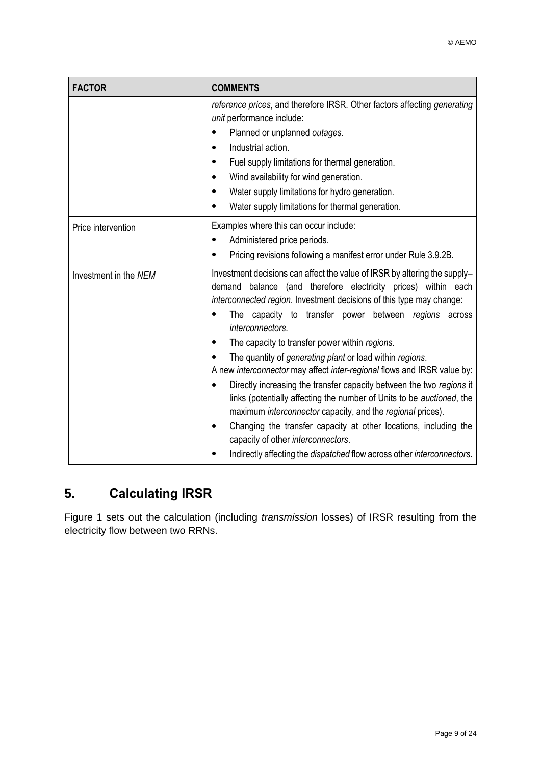| <b>FACTOR</b>         | <b>COMMENTS</b>                                                                                                                                                                                                                                                         |
|-----------------------|-------------------------------------------------------------------------------------------------------------------------------------------------------------------------------------------------------------------------------------------------------------------------|
|                       | reference prices, and therefore IRSR. Other factors affecting generating<br>unit performance include:                                                                                                                                                                   |
|                       | Planned or unplanned outages.                                                                                                                                                                                                                                           |
|                       | Industrial action.                                                                                                                                                                                                                                                      |
|                       | Fuel supply limitations for thermal generation.<br>$\bullet$                                                                                                                                                                                                            |
|                       | Wind availability for wind generation.<br>٠                                                                                                                                                                                                                             |
|                       | Water supply limitations for hydro generation.                                                                                                                                                                                                                          |
|                       | Water supply limitations for thermal generation.                                                                                                                                                                                                                        |
| Price intervention    | Examples where this can occur include:                                                                                                                                                                                                                                  |
|                       | Administered price periods.                                                                                                                                                                                                                                             |
|                       | Pricing revisions following a manifest error under Rule 3.9.2B.<br>$\bullet$                                                                                                                                                                                            |
| Investment in the NEM | Investment decisions can affect the value of IRSR by altering the supply-<br>demand balance (and therefore electricity prices) within each<br>interconnected region. Investment decisions of this type may change:<br>The capacity to transfer power<br>between regions |
|                       | across<br>interconnectors.                                                                                                                                                                                                                                              |
|                       | The capacity to transfer power within regions.                                                                                                                                                                                                                          |
|                       | The quantity of generating plant or load within regions.                                                                                                                                                                                                                |
|                       | A new interconnector may affect inter-regional flows and IRSR value by:                                                                                                                                                                                                 |
|                       | Directly increasing the transfer capacity between the two regions it<br>$\bullet$<br>links (potentially affecting the number of Units to be auctioned, the<br>maximum interconnector capacity, and the regional prices).                                                |
|                       | Changing the transfer capacity at other locations, including the<br>$\bullet$<br>capacity of other interconnectors.                                                                                                                                                     |
|                       | Indirectly affecting the dispatched flow across other interconnectors.                                                                                                                                                                                                  |

## <span id="page-8-0"></span>**5. Calculating IRSR**

[Figure 1](#page-9-2) sets out the calculation (including *transmission* losses) of IRSR resulting from the electricity flow between two RRNs.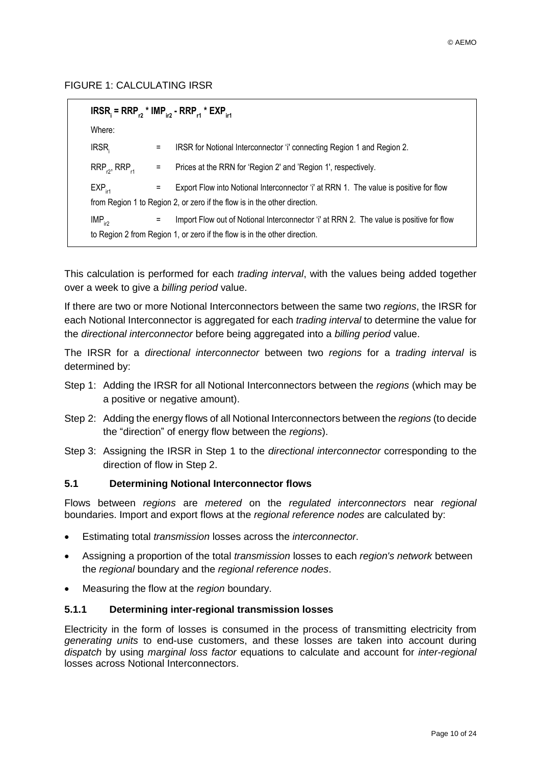### <span id="page-9-2"></span>FIGURE 1: CALCULATING IRSR

| $IRSR_i = RRP_{r2}$ * $IMP_{i2}$ - $RRP_{r4}$ * $EXP_{i2}$                |     |                                                                                         |
|---------------------------------------------------------------------------|-----|-----------------------------------------------------------------------------------------|
| Where:                                                                    |     |                                                                                         |
| IRSR <sub>i</sub>                                                         | =   | IRSR for Notional Interconnector 'i' connecting Region 1 and Region 2.                  |
| $RRP_{r2}$ , $RRP_{r1}$                                                   | Ξ   | Prices at the RRN for 'Region 2' and 'Region 1', respectively.                          |
| $EXP_{int}$                                                               | $=$ | Export Flow into Notional Interconnector 'i' at RRN 1. The value is positive for flow   |
| from Region 1 to Region 2, or zero if the flow is in the other direction. |     |                                                                                         |
| $IMP_{ir2}$                                                               | $=$ | Import Flow out of Notional Interconnector 'i' at RRN 2. The value is positive for flow |
| to Region 2 from Region 1, or zero if the flow is in the other direction. |     |                                                                                         |

This calculation is performed for each *trading interval*, with the values being added together over a week to give a *billing period* value.

If there are two or more Notional Interconnectors between the same two *regions*, the IRSR for each Notional Interconnector is aggregated for each *trading interval* to determine the value for the *directional interconnector* before being aggregated into a *billing period* value.

The IRSR for a *directional interconnector* between two *regions* for a *trading interval* is determined by:

- Step 1: Adding the IRSR for all Notional Interconnectors between the *regions* (which may be a positive or negative amount).
- Step 2: Adding the energy flows of all Notional Interconnectors between the *regions* (to decide the "direction" of energy flow between the *regions*).
- Step 3: Assigning the IRSR in Step 1 to the *directional interconnector* corresponding to the direction of flow in Step 2.

## <span id="page-9-0"></span>**5.1 Determining Notional Interconnector flows**

Flows between *regions* are *metered* on the *regulated interconnectors* near *regional* boundaries. Import and export flows at the *regional reference nodes* are calculated by:

- Estimating total *transmission* losses across the *interconnector*.
- Assigning a proportion of the total *transmission* losses to each *region's network* between the *regional* boundary and the *regional reference nodes*.
- Measuring the flow at the *region* boundary.

#### <span id="page-9-1"></span>**5.1.1 Determining inter-regional transmission losses**

Electricity in the form of losses is consumed in the process of transmitting electricity from *generating units* to end-use customers, and these losses are taken into account during *dispatch* by using *marginal loss factor* equations to calculate and account for *inter-regional* losses across Notional Interconnectors.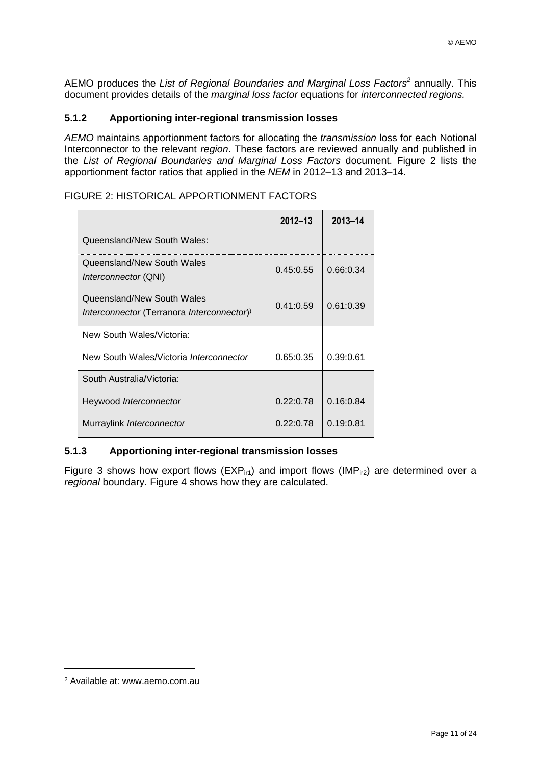AEMO produces the *List of Regional Boundaries and Marginal Loss Factors<sup>2</sup>* annually. This document provides details of the *marginal loss factor* equations for *interconnected regions.*

### <span id="page-10-0"></span>**5.1.2 Apportioning inter-regional transmission losses**

*AEMO* maintains apportionment factors for allocating the *transmission* loss for each Notional Interconnector to the relevant *region*. These factors are reviewed annually and published in the *List of Regional Boundaries and Marginal Loss Factors* document. [Figure 2](#page-10-2) lists the apportionment factor ratios that applied in the *NEM* in 2012–13 and 2013–14.

## <span id="page-10-2"></span>FIGURE 2: HISTORICAL APPORTIONMENT FACTORS

|                                                                         | $2012 - 13$ | 2013-14   |
|-------------------------------------------------------------------------|-------------|-----------|
| Queensland/New South Wales:                                             |             |           |
| Queensland/New South Wales<br><i>Interconnector</i> (QNI)               | 0.45:0.55   | 0.66:0.34 |
| Queensland/New South Wales<br>Interconnector (Terranora Interconnector) | 0.41:0.59   | 0.61:0.39 |
| New South Wales/Victoria:                                               |             |           |
| New South Wales/Victoria Interconnector                                 | 0.65:0.35   | 0.39:0.61 |
| South Australia/Victoria:                                               |             |           |
| Heywood <i>Interconnector</i>                                           | 0.22:0.78   | 0.16:0.84 |
| Murraylink Interconnector                                               | 0.22:0.78   | 0.19:0.81 |

## <span id="page-10-1"></span>**5.1.3 Apportioning inter-regional transmission losses**

[Figure 3](#page-11-1) shows how export flows ( $EXP<sub>ir1</sub>$ ) and import flows (IMP<sub>ir2</sub>) are determined over a *regional* boundary. Figure 4 shows how they are calculated.

<sup>2</sup> Available at: www.aemo.com.au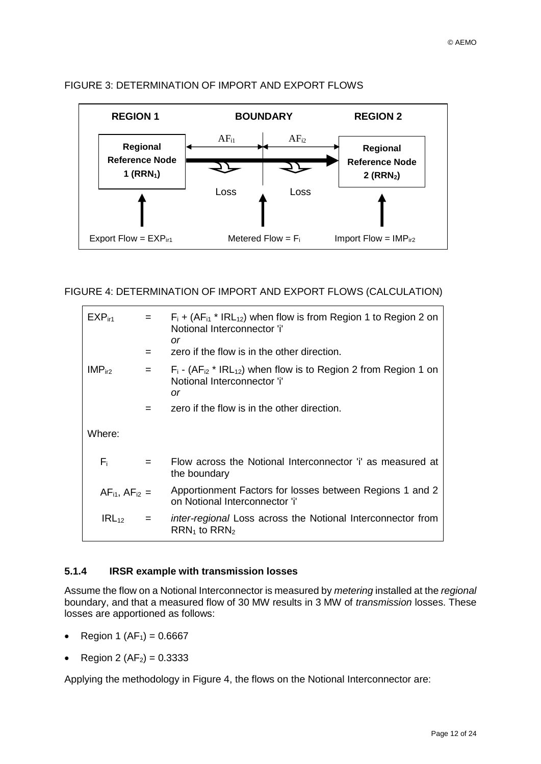

## <span id="page-11-1"></span>FIGURE 3: DETERMINATION OF IMPORT AND EXPORT FLOWS

<span id="page-11-2"></span>FIGURE 4: DETERMINATION OF IMPORT AND EXPORT FLOWS (CALCULATION)

| EXP <sub>ir1</sub>      | $=$ $-$<br>= | $F_i$ + (AF <sub>i1</sub> * IRL <sub>12</sub> ) when flow is from Region 1 to Region 2 on<br>Notional Interconnector 'i'<br>or<br>zero if the flow is in the other direction. |
|-------------------------|--------------|-------------------------------------------------------------------------------------------------------------------------------------------------------------------------------|
| IMP <sub>ir2</sub>      | $=$          | $F_i$ - (A $F_{i2}$ * IRL <sub>12</sub> ) when flow is to Region 2 from Region 1 on<br>Notional Interconnector 'i'<br>or                                                      |
|                         |              | zero if the flow is in the other direction.                                                                                                                                   |
| Where:                  |              |                                                                                                                                                                               |
| F.                      |              | Flow across the Notional Interconnector 'i' as measured at<br>the boundary                                                                                                    |
| $AF_{11}$ , $AF_{12}$ = |              | Apportionment Factors for losses between Regions 1 and 2<br>on Notional Interconnector 'i'                                                                                    |
| $IRL_{12}$              | $=$          | <i>inter-regional</i> Loss across the Notional Interconnector from<br>$RRN_1$ to $RRN_2$                                                                                      |

## <span id="page-11-0"></span>**5.1.4 IRSR example with transmission losses**

Assume the flow on a Notional Interconnector is measured by *metering* installed at the *regional* boundary, and that a measured flow of 30 MW results in 3 MW of *transmission* losses. These losses are apportioned as follows:

- Region 1 ( $AF_1$ ) = 0.6667
- Region 2 ( $AF_2$ ) = 0.3333

Applying the methodology in [Figure 4,](#page-11-2) the flows on the Notional Interconnector are: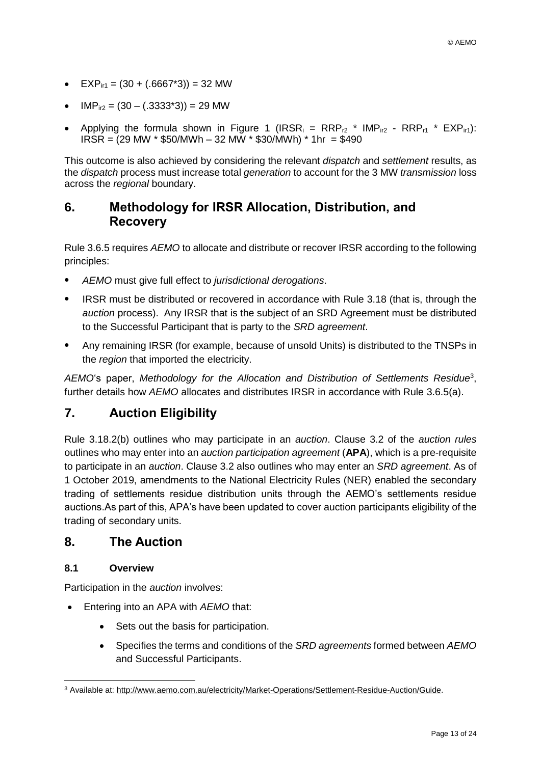- $EXP_{ir1} = (30 + (.6667*3)) = 32$  MW
- $IMP_{1/2} = (30 (.33333*) ) = 29$  MW
- Applying the formula shown in [Figure 1](#page-9-2) (IRSR<sub>i</sub> = RRP<sub>r2</sub> \* IMP<sub>ir2</sub> RRP<sub>r1</sub> \* EXP<sub>ir1</sub>):  $IRSR = (29 MW * $50/MWh - 32 MW * $30/MWh) * 1hr = $490$

This outcome is also achieved by considering the relevant *dispatch* and *settlement* results, as the *dispatch* process must increase total *generation* to account for the 3 MW *transmission* loss across the *regional* boundary.

## <span id="page-12-0"></span>**6. Methodology for IRSR Allocation, Distribution, and Recovery**

Rule 3.6.5 requires *AEMO* to allocate and distribute or recover IRSR according to the following principles:

- *AEMO* must give full effect to *jurisdictional derogations*.
- IRSR must be distributed or recovered in accordance with Rule 3.18 (that is, through the *auction* process). Any IRSR that is the subject of an SRD Agreement must be distributed to the Successful Participant that is party to the *SRD agreement*.
- Any remaining IRSR (for example, because of unsold Units) is distributed to the TNSPs in the *region* that imported the electricity.

*AEMO*'s paper, *Methodology for the Allocation and Distribution of Settlements Residue*<sup>3</sup> , further details how *AEMO* allocates and distributes IRSR in accordance with Rule 3.6.5(a).

## <span id="page-12-1"></span>**7. Auction Eligibility**

Rule 3.18.2(b) outlines who may participate in an *auction*. Clause 3.2 of the *auction rules* outlines who may enter into an *auction participation agreement* (**APA**), which is a pre-requisite to participate in an *auction*. Clause 3.2 also outlines who may enter an *SRD agreement*. As of 1 October 2019, amendments to the National Electricity Rules (NER) enabled the secondary trading of settlements residue distribution units through the AEMO's settlements residue auctions.As part of this, APA's have been updated to cover auction participants eligibility of the trading of secondary units.

## <span id="page-12-2"></span>**8. The Auction**

#### <span id="page-12-3"></span>**8.1 Overview**

Participation in the *auction* involves:

- Entering into an APA with *AEMO* that:
	- Sets out the basis for participation.
	- Specifies the terms and conditions of the *SRD agreements* formed between *AEMO* and Successful Participants.

 <sup>3</sup> Available at: [http://www.aemo.com.au/electricity/Market-Operations/Settlement-Residue-Auction/Guide.](http://www.aemo.com.au/electricity/Market-Operations/Settlement-Residue-Auction/Guide)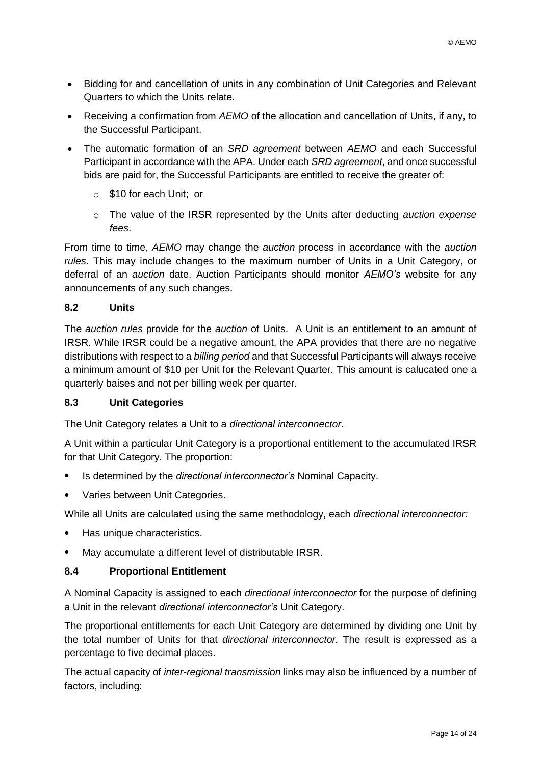- Bidding for and cancellation of units in any combination of Unit Categories and Relevant Quarters to which the Units relate.
- Receiving a confirmation from *AEMO* of the allocation and cancellation of Units, if any, to the Successful Participant.
- The automatic formation of an *SRD agreement* between *AEMO* and each Successful Participant in accordance with the APA. Under each *SRD agreement*, and once successful bids are paid for, the Successful Participants are entitled to receive the greater of:
	- o \$10 for each Unit; or
	- o The value of the IRSR represented by the Units after deducting *auction expense fees*.

From time to time, *AEMO* may change the *auction* process in accordance with the *auction rules*. This may include changes to the maximum number of Units in a Unit Category, or deferral of an *auction* date. Auction Participants should monitor *AEMO's* website for any announcements of any such changes.

## <span id="page-13-0"></span>**8.2 Units**

The *auction rules* provide for the *auction* of Units. A Unit is an entitlement to an amount of IRSR. While IRSR could be a negative amount, the APA provides that there are no negative distributions with respect to a *billing period* and that Successful Participants will always receive a minimum amount of \$10 per Unit for the Relevant Quarter. This amount is calucated one a quarterly baises and not per billing week per quarter.

## <span id="page-13-1"></span>**8.3 Unit Categories**

The Unit Category relates a Unit to a *directional interconnector*.

A Unit within a particular Unit Category is a proportional entitlement to the accumulated IRSR for that Unit Category. The proportion:

- Is determined by the *directional interconnector's* Nominal Capacity.
- Varies between Unit Categories.

While all Units are calculated using the same methodology, each *directional interconnector:*

- Has unique characteristics.
- May accumulate a different level of distributable IRSR.

## <span id="page-13-2"></span>**8.4 Proportional Entitlement**

A Nominal Capacity is assigned to each *directional interconnector* for the purpose of defining a Unit in the relevant *directional interconnector's* Unit Category.

The proportional entitlements for each Unit Category are determined by dividing one Unit by the total number of Units for that *directional interconnector.* The result is expressed as a percentage to five decimal places.

The actual capacity of *inter-regional transmission* links may also be influenced by a number of factors, including: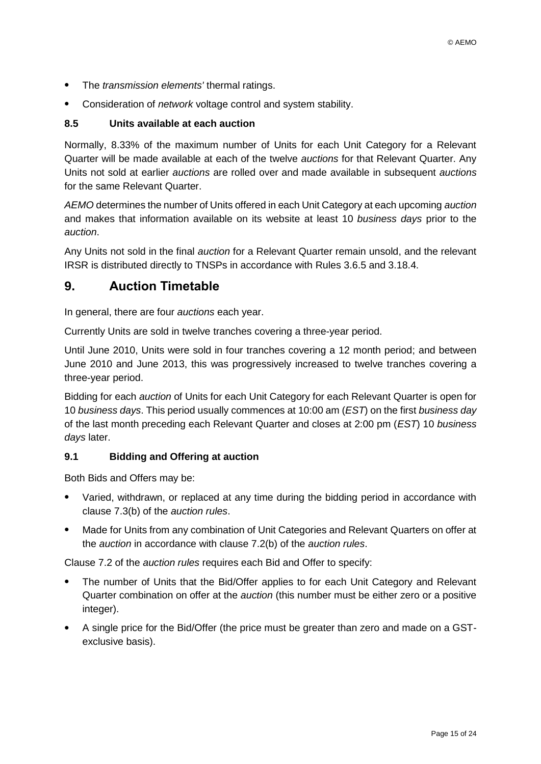- The *transmission elements'* thermal ratings.
- Consideration of *network* voltage control and system stability.

### <span id="page-14-0"></span>**8.5 Units available at each auction**

Normally, 8.33% of the maximum number of Units for each Unit Category for a Relevant Quarter will be made available at each of the twelve *auctions* for that Relevant Quarter. Any Units not sold at earlier *auctions* are rolled over and made available in subsequent *auctions* for the same Relevant Quarter.

*AEMO* determines the number of Units offered in each Unit Category at each upcoming *auction* and makes that information available on its website at least 10 *business days* prior to the *auction*.

Any Units not sold in the final *auction* for a Relevant Quarter remain unsold, and the relevant IRSR is distributed directly to TNSPs in accordance with Rules 3.6.5 and 3.18.4.

## <span id="page-14-1"></span>**9. Auction Timetable**

In general, there are four *auctions* each year.

Currently Units are sold in twelve tranches covering a three-year period.

Until June 2010, Units were sold in four tranches covering a 12 month period; and between June 2010 and June 2013, this was progressively increased to twelve tranches covering a three-year period.

Bidding for each *auction* of Units for each Unit Category for each Relevant Quarter is open for 10 *business days*. This period usually commences at 10:00 am (*EST*) on the first *business day* of the last month preceding each Relevant Quarter and closes at 2:00 pm (*EST*) 10 *business days* later.

#### <span id="page-14-2"></span>**9.1 Bidding and Offering at auction**

Both Bids and Offers may be:

- Varied, withdrawn, or replaced at any time during the bidding period in accordance with clause 7.3(b) of the *auction rules*.
- Made for Units from any combination of Unit Categories and Relevant Quarters on offer at the *auction* in accordance with clause 7.2(b) of the *auction rules*.

Clause 7.2 of the *auction rules* requires each Bid and Offer to specify:

- The number of Units that the Bid/Offer applies to for each Unit Category and Relevant Quarter combination on offer at the *auction* (this number must be either zero or a positive integer).
- A single price for the Bid/Offer (the price must be greater than zero and made on a GSTexclusive basis).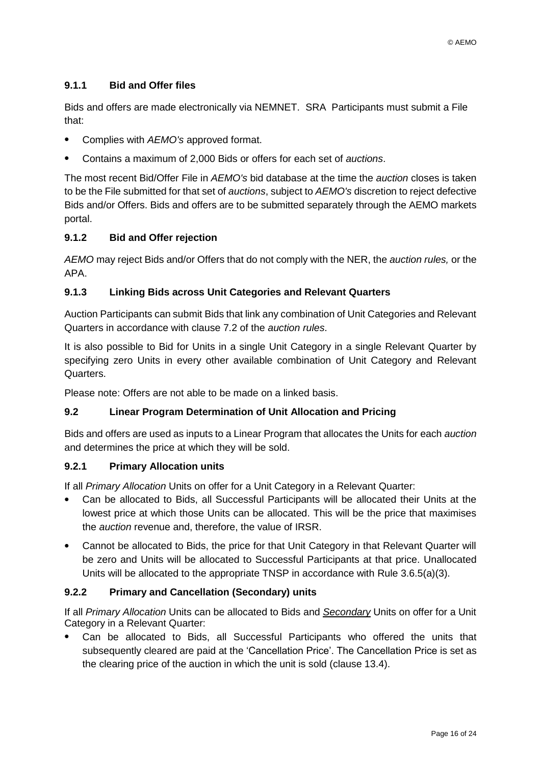## <span id="page-15-0"></span>**9.1.1 Bid and Offer files**

Bids and offers are made electronically via NEMNET. SRA Participants must submit a File that:

- Complies with *AEMO's* approved format.
- Contains a maximum of 2,000 Bids or offers for each set of *auctions*.

The most recent Bid/Offer File in *AEMO's* bid database at the time the *auction* closes is taken to be the File submitted for that set of *auctions*, subject to *AEMO's* discretion to reject defective Bids and/or Offers. Bids and offers are to be submitted separately through the AEMO markets portal.

## <span id="page-15-1"></span>**9.1.2 Bid and Offer rejection**

*AEMO* may reject Bids and/or Offers that do not comply with the NER, the *auction rules,* or the APA.

## <span id="page-15-2"></span>**9.1.3 Linking Bids across Unit Categories and Relevant Quarters**

Auction Participants can submit Bids that link any combination of Unit Categories and Relevant Quarters in accordance with clause 7.2 of the *auction rules*.

It is also possible to Bid for Units in a single Unit Category in a single Relevant Quarter by specifying zero Units in every other available combination of Unit Category and Relevant Quarters.

Please note: Offers are not able to be made on a linked basis.

## <span id="page-15-3"></span>**9.2 Linear Program Determination of Unit Allocation and Pricing**

Bids and offers are used as inputs to a Linear Program that allocates the Units for each *auction* and determines the price at which they will be sold.

## <span id="page-15-4"></span>**9.2.1 Primary Allocation units**

If all *Primary Allocation* Units on offer for a Unit Category in a Relevant Quarter:

- Can be allocated to Bids, all Successful Participants will be allocated their Units at the lowest price at which those Units can be allocated. This will be the price that maximises the *auction* revenue and, therefore, the value of IRSR.
- Cannot be allocated to Bids, the price for that Unit Category in that Relevant Quarter will be zero and Units will be allocated to Successful Participants at that price. Unallocated Units will be allocated to the appropriate TNSP in accordance with Rule 3.6.5(a)(3).

## <span id="page-15-5"></span>**9.2.2 Primary and Cancellation (Secondary) units**

If all *Primary Allocation* Units can be allocated to Bids and *Secondary* Units on offer for a Unit Category in a Relevant Quarter:

• Can be allocated to Bids, all Successful Participants who offered the units that subsequently cleared are paid at the 'Cancellation Price'. The Cancellation Price is set as the clearing price of the auction in which the unit is sold (clause 13.4).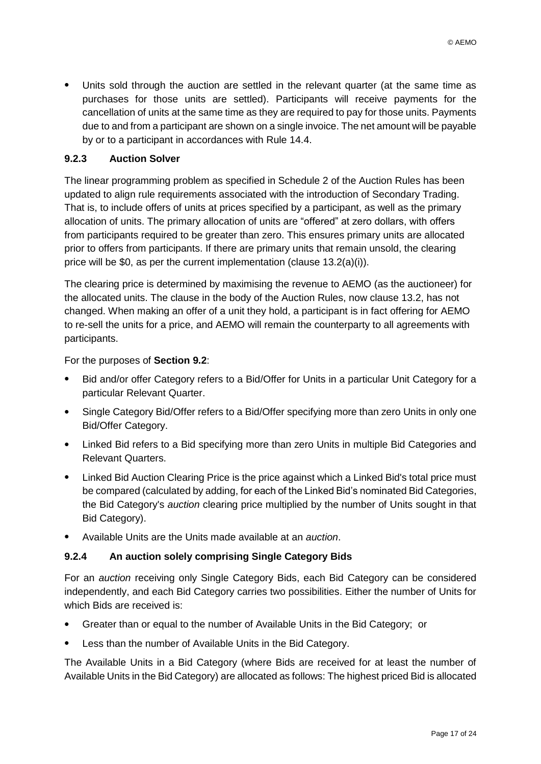• Units sold through the auction are settled in the relevant quarter (at the same time as purchases for those units are settled). Participants will receive payments for the cancellation of units at the same time as they are required to pay for those units. Payments due to and from a participant are shown on a single invoice. The net amount will be payable by or to a participant in accordances with Rule 14.4.

## <span id="page-16-0"></span>**9.2.3 Auction Solver**

The linear programming problem as specified in Schedule 2 of the Auction Rules has been updated to align rule requirements associated with the introduction of Secondary Trading. That is, to include offers of units at prices specified by a participant, as well as the primary allocation of units. The primary allocation of units are "offered" at zero dollars, with offers from participants required to be greater than zero. This ensures primary units are allocated prior to offers from participants. If there are primary units that remain unsold, the clearing price will be \$0, as per the current implementation (clause 13.2(a)(i)).

The clearing price is determined by maximising the revenue to AEMO (as the auctioneer) for the allocated units. The clause in the body of the Auction Rules, now clause 13.2, has not changed. When making an offer of a unit they hold, a participant is in fact offering for AEMO to re-sell the units for a price, and AEMO will remain the counterparty to all agreements with participants.

For the purposes of **Section [9.2](#page-15-3)**:

- Bid and/or offer Category refers to a Bid/Offer for Units in a particular Unit Category for a particular Relevant Quarter.
- Single Category Bid/Offer refers to a Bid/Offer specifying more than zero Units in only one Bid/Offer Category.
- Linked Bid refers to a Bid specifying more than zero Units in multiple Bid Categories and Relevant Quarters.
- Linked Bid Auction Clearing Price is the price against which a Linked Bid's total price must be compared (calculated by adding, for each of the Linked Bid's nominated Bid Categories, the Bid Category's *auction* clearing price multiplied by the number of Units sought in that Bid Category).
- Available Units are the Units made available at an *auction*.

#### <span id="page-16-1"></span>**9.2.4 An auction solely comprising Single Category Bids**

For an *auction* receiving only Single Category Bids, each Bid Category can be considered independently, and each Bid Category carries two possibilities. Either the number of Units for which Bids are received is:

- Greater than or equal to the number of Available Units in the Bid Category; or
- Less than the number of Available Units in the Bid Category.

The Available Units in a Bid Category (where Bids are received for at least the number of Available Units in the Bid Category) are allocated as follows: The highest priced Bid is allocated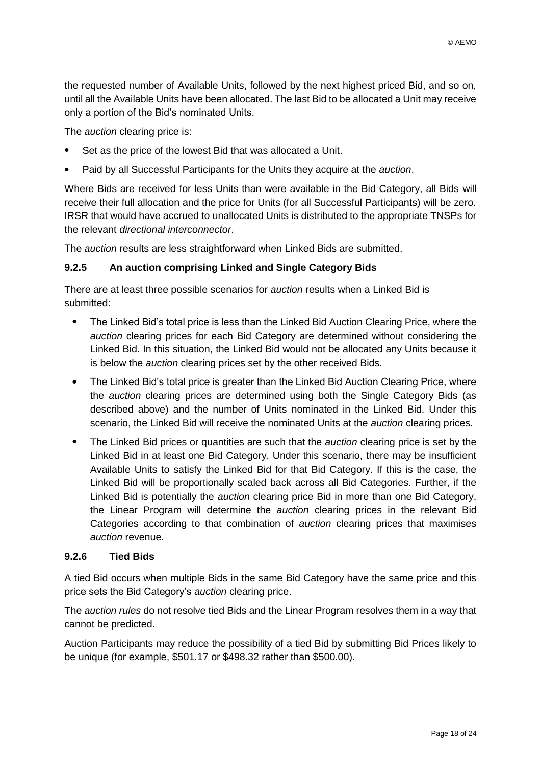the requested number of Available Units, followed by the next highest priced Bid, and so on, until all the Available Units have been allocated. The last Bid to be allocated a Unit may receive only a portion of the Bid's nominated Units.

The *auction* clearing price is:

- Set as the price of the lowest Bid that was allocated a Unit.
- Paid by all Successful Participants for the Units they acquire at the *auction*.

Where Bids are received for less Units than were available in the Bid Category, all Bids will receive their full allocation and the price for Units (for all Successful Participants) will be zero. IRSR that would have accrued to unallocated Units is distributed to the appropriate TNSPs for the relevant *directional interconnector*.

The *auction* results are less straightforward when Linked Bids are submitted.

### <span id="page-17-0"></span>**9.2.5 An auction comprising Linked and Single Category Bids**

There are at least three possible scenarios for *auction* results when a Linked Bid is submitted:

- The Linked Bid's total price is less than the Linked Bid Auction Clearing Price, where the *auction* clearing prices for each Bid Category are determined without considering the Linked Bid. In this situation, the Linked Bid would not be allocated any Units because it is below the *auction* clearing prices set by the other received Bids.
- The Linked Bid's total price is greater than the Linked Bid Auction Clearing Price, where the *auction* clearing prices are determined using both the Single Category Bids (as described above) and the number of Units nominated in the Linked Bid. Under this scenario, the Linked Bid will receive the nominated Units at the *auction* clearing prices.
- The Linked Bid prices or quantities are such that the *auction* clearing price is set by the Linked Bid in at least one Bid Category. Under this scenario, there may be insufficient Available Units to satisfy the Linked Bid for that Bid Category. If this is the case, the Linked Bid will be proportionally scaled back across all Bid Categories. Further, if the Linked Bid is potentially the *auction* clearing price Bid in more than one Bid Category, the Linear Program will determine the *auction* clearing prices in the relevant Bid Categories according to that combination of *auction* clearing prices that maximises *auction* revenue.

#### <span id="page-17-1"></span>**9.2.6 Tied Bids**

A tied Bid occurs when multiple Bids in the same Bid Category have the same price and this price sets the Bid Category's *auction* clearing price.

The *auction rules* do not resolve tied Bids and the Linear Program resolves them in a way that cannot be predicted.

Auction Participants may reduce the possibility of a tied Bid by submitting Bid Prices likely to be unique (for example, \$501.17 or \$498.32 rather than \$500.00).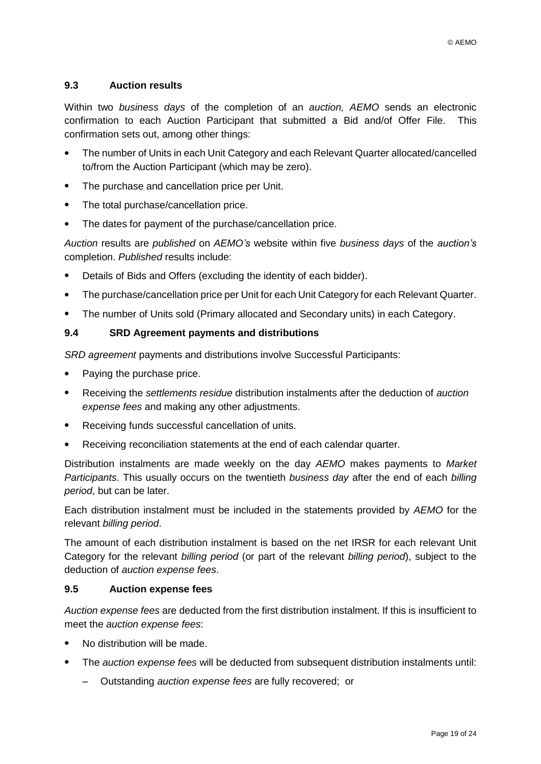## <span id="page-18-0"></span>**9.3 Auction results**

Within two *business days* of the completion of an *auction, AEMO* sends an electronic confirmation to each Auction Participant that submitted a Bid and/of Offer File. This confirmation sets out, among other things:

- The number of Units in each Unit Category and each Relevant Quarter allocated/cancelled to/from the Auction Participant (which may be zero).
- The purchase and cancellation price per Unit.
- The total purchase/cancellation price.
- The dates for payment of the purchase/cancellation price.

*Auction* results are *published* on *AEMO's* website within five *business days* of the *auction's* completion. *Published* results include:

- Details of Bids and Offers (excluding the identity of each bidder).
- The purchase/cancellation price per Unit for each Unit Category for each Relevant Quarter.
- The number of Units sold (Primary allocated and Secondary units) in each Category.

### <span id="page-18-1"></span>**9.4 SRD Agreement payments and distributions**

*SRD agreement* payments and distributions involve Successful Participants:

- Paying the purchase price.
- Receiving the *settlements residue* distribution instalments after the deduction of *auction expense fees* and making any other adjustments.
- Receiving funds successful cancellation of units.
- Receiving reconciliation statements at the end of each calendar quarter.

Distribution instalments are made weekly on the day *AEMO* makes payments to *Market Participants*. This usually occurs on the twentieth *business day* after the end of each *billing period*, but can be later.

Each distribution instalment must be included in the statements provided by *AEMO* for the relevant *billing period*.

The amount of each distribution instalment is based on the net IRSR for each relevant Unit Category for the relevant *billing period* (or part of the relevant *billing period*), subject to the deduction of *auction expense fees*.

#### <span id="page-18-2"></span>**9.5 Auction expense fees**

*Auction expense fees* are deducted from the first distribution instalment. If this is insufficient to meet the *auction expense fees*:

- No distribution will be made.
- The *auction expense fees* will be deducted from subsequent distribution instalments until:
	- Outstanding *auction expense fees* are fully recovered; or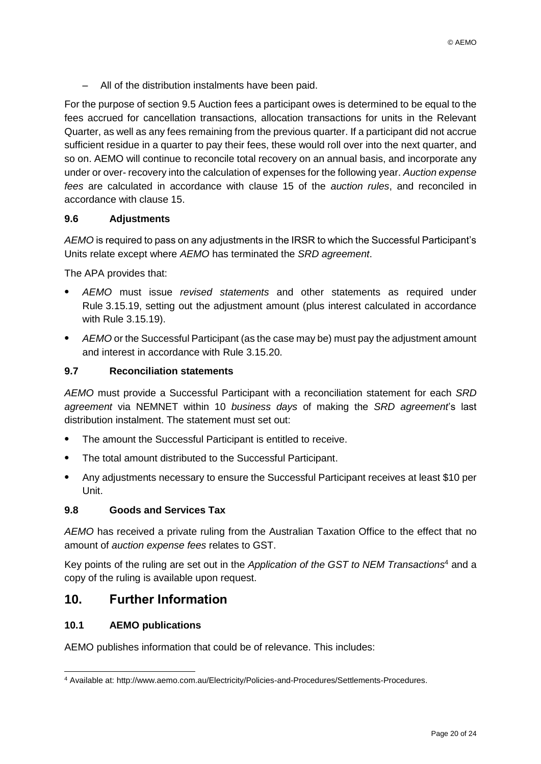– All of the distribution instalments have been paid.

For the purpose of section 9.5 Auction fees a participant owes is determined to be equal to the fees accrued for cancellation transactions, allocation transactions for units in the Relevant Quarter, as well as any fees remaining from the previous quarter. If a participant did not accrue sufficient residue in a quarter to pay their fees, these would roll over into the next quarter, and so on. AEMO will continue to reconcile total recovery on an annual basis, and incorporate any under or over- recovery into the calculation of expenses for the following year. *Auction expense fees* are calculated in accordance with clause 15 of the *auction rules*, and reconciled in accordance with clause 15.

## <span id="page-19-0"></span>**9.6 Adjustments**

*AEMO* is required to pass on any adjustments in the IRSR to which the Successful Participant's Units relate except where *AEMO* has terminated the *SRD agreement*.

The APA provides that:

- *AEMO* must issue *revised statements* and other statements as required under Rule 3.15.19, setting out the adjustment amount (plus interest calculated in accordance with Rule 3.15.19).
- *AEMO* or the Successful Participant (as the case may be) must pay the adjustment amount and interest in accordance with Rule 3.15.20.

## <span id="page-19-1"></span>**9.7 Reconciliation statements**

*AEMO* must provide a Successful Participant with a reconciliation statement for each *SRD agreement* via NEMNET within 10 *business days* of making the *SRD agreement*'s last distribution instalment. The statement must set out:

- The amount the Successful Participant is entitled to receive.
- The total amount distributed to the Successful Participant.
- Any adjustments necessary to ensure the Successful Participant receives at least \$10 per Unit.

## <span id="page-19-2"></span>**9.8 Goods and Services Tax**

*AEMO* has received a private ruling from the Australian Taxation Office to the effect that no amount of *auction expense fees* relates to GST.

Key points of the ruling are set out in the *Application of the GST to NEM Transactions*<sup>4</sup> and a copy of the ruling is available upon request.

## <span id="page-19-3"></span>**10. Further Information**

## <span id="page-19-4"></span>**10.1 AEMO publications**

AEMO publishes information that could be of relevance. This includes:

 $\overline{a}$ <sup>4</sup> Available at: [http://www.aemo.com.au/Electricity/Policies-and-Procedures/Settlements-Procedures.](http://www.aemo.com.au/Electricity/Policies-and-Procedures/Settlements-Procedures)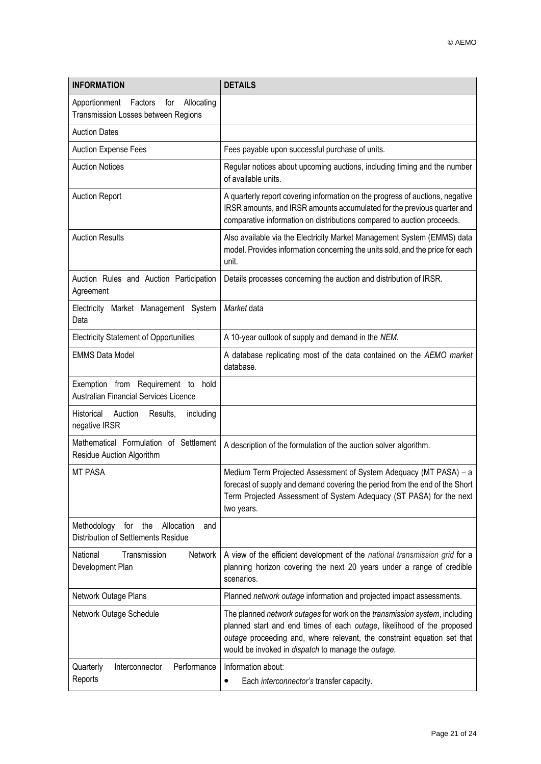| <b>INFORMATION</b>                                                                          | <b>DETAILS</b>                                                                                                                                                                                                                                                                        |
|---------------------------------------------------------------------------------------------|---------------------------------------------------------------------------------------------------------------------------------------------------------------------------------------------------------------------------------------------------------------------------------------|
| Allocating<br>Apportionment<br>Factors<br>for<br><b>Transmission Losses between Regions</b> |                                                                                                                                                                                                                                                                                       |
| <b>Auction Dates</b>                                                                        |                                                                                                                                                                                                                                                                                       |
| <b>Auction Expense Fees</b>                                                                 | Fees payable upon successful purchase of units.                                                                                                                                                                                                                                       |
| <b>Auction Notices</b>                                                                      | Regular notices about upcoming auctions, including timing and the number<br>of available units.                                                                                                                                                                                       |
| <b>Auction Report</b>                                                                       | A quarterly report covering information on the progress of auctions, negative<br>IRSR amounts, and IRSR amounts accumulated for the previous quarter and<br>comparative information on distributions compared to auction proceeds.                                                    |
| <b>Auction Results</b>                                                                      | Also available via the Electricity Market Management System (EMMS) data<br>model. Provides information concerning the units sold, and the price for each<br>unit.                                                                                                                     |
| Auction Rules and Auction Participation<br>Agreement                                        | Details processes concerning the auction and distribution of IRSR.                                                                                                                                                                                                                    |
| Electricity Market Management System<br>Data                                                | Market data                                                                                                                                                                                                                                                                           |
| <b>Electricity Statement of Opportunities</b>                                               | A 10-year outlook of supply and demand in the NEM.                                                                                                                                                                                                                                    |
| <b>EMMS Data Model</b>                                                                      | A database replicating most of the data contained on the AEMO market<br>database.                                                                                                                                                                                                     |
| Exemption from Requirement to<br>hold<br><b>Australian Financial Services Licence</b>       |                                                                                                                                                                                                                                                                                       |
| including<br>Historical<br>Auction<br>Results,<br>negative IRSR                             |                                                                                                                                                                                                                                                                                       |
| Mathematical Formulation of Settlement<br>Residue Auction Algorithm                         | A description of the formulation of the auction solver algorithm.                                                                                                                                                                                                                     |
| <b>MT PASA</b>                                                                              | Medium Term Projected Assessment of System Adequacy (MT PASA) - a<br>forecast of supply and demand covering the period from the end of the Short<br>Term Projected Assessment of System Adequacy (ST PASA) for the next<br>two years.                                                 |
| the<br>Allocation<br>Methodology<br>for<br>and<br>Distribution of Settlements Residue       |                                                                                                                                                                                                                                                                                       |
| National<br>Transmission<br>Network<br>Development Plan                                     | A view of the efficient development of the national transmission grid for a<br>planning horizon covering the next 20 years under a range of credible<br>scenarios.                                                                                                                    |
| Network Outage Plans                                                                        | Planned network outage information and projected impact assessments.                                                                                                                                                                                                                  |
| Network Outage Schedule                                                                     | The planned network outages for work on the transmission system, including<br>planned start and end times of each outage, likelihood of the proposed<br>outage proceeding and, where relevant, the constraint equation set that<br>would be invoked in dispatch to manage the outage. |
| Interconnector<br>Performance<br>Quarterly<br>Reports                                       | Information about:<br>Each interconnector's transfer capacity.<br>٠                                                                                                                                                                                                                   |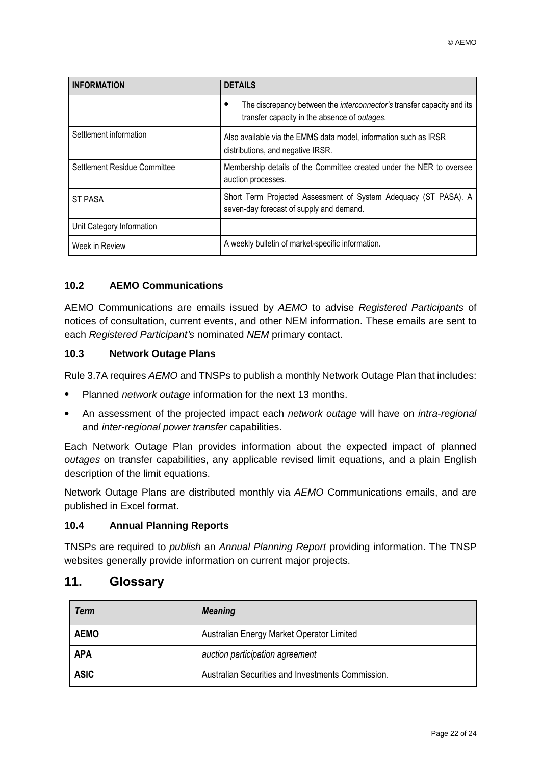| <b>INFORMATION</b>           | <b>DETAILS</b>                                                                                                                |  |
|------------------------------|-------------------------------------------------------------------------------------------------------------------------------|--|
|                              | The discrepancy between the <i>interconnector's</i> transfer capacity and its<br>transfer capacity in the absence of outages. |  |
| Settlement information       | Also available via the EMMS data model, information such as IRSR<br>distributions, and negative IRSR.                         |  |
| Settlement Residue Committee | Membership details of the Committee created under the NER to oversee<br>auction processes.                                    |  |
| <b>ST PASA</b>               | Short Term Projected Assessment of System Adequacy (ST PASA). A<br>seven-day forecast of supply and demand.                   |  |
| Unit Category Information    |                                                                                                                               |  |
| Week in Review               | A weekly bulletin of market-specific information.                                                                             |  |

### <span id="page-21-0"></span>**10.2 AEMO Communications**

AEMO Communications are emails issued by *AEMO* to advise *Registered Participants* of notices of consultation, current events, and other NEM information. These emails are sent to each *Registered Participant's* nominated *NEM* primary contact.

#### <span id="page-21-1"></span>**10.3 Network Outage Plans**

Rule 3.7A requires *AEMO* and TNSPs to publish a monthly Network Outage Plan that includes:

- Planned *network outage* information for the next 13 months.
- An assessment of the projected impact each *network outage* will have on *intra-regional* and *inter-regional power transfer* capabilities.

Each Network Outage Plan provides information about the expected impact of planned *outages* on transfer capabilities, any applicable revised limit equations, and a plain English description of the limit equations.

Network Outage Plans are distributed monthly via *AEMO* Communications emails, and are published in Excel format.

#### <span id="page-21-2"></span>**10.4 Annual Planning Reports**

TNSPs are required to *publish* an *Annual Planning Report* providing information. The TNSP websites generally provide information on current major projects.

## <span id="page-21-3"></span>**11. Glossary**

| Term        | <b>Meaning</b>                                    |
|-------------|---------------------------------------------------|
| <b>AEMO</b> | Australian Energy Market Operator Limited         |
| <b>APA</b>  | auction participation agreement                   |
| <b>ASIC</b> | Australian Securities and Investments Commission. |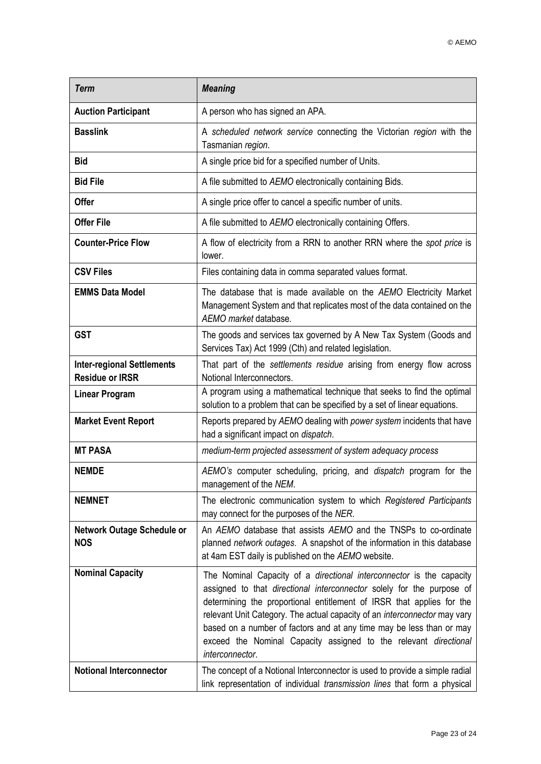| <b>Term</b>                                                 | <b>Meaning</b>                                                                                                                                                                                                                                                                                                                                                                                                                                                     |
|-------------------------------------------------------------|--------------------------------------------------------------------------------------------------------------------------------------------------------------------------------------------------------------------------------------------------------------------------------------------------------------------------------------------------------------------------------------------------------------------------------------------------------------------|
| <b>Auction Participant</b>                                  | A person who has signed an APA.                                                                                                                                                                                                                                                                                                                                                                                                                                    |
| <b>Basslink</b>                                             | A scheduled network service connecting the Victorian region with the<br>Tasmanian region.                                                                                                                                                                                                                                                                                                                                                                          |
| <b>Bid</b>                                                  | A single price bid for a specified number of Units.                                                                                                                                                                                                                                                                                                                                                                                                                |
| <b>Bid File</b>                                             | A file submitted to AEMO electronically containing Bids.                                                                                                                                                                                                                                                                                                                                                                                                           |
| <b>Offer</b>                                                | A single price offer to cancel a specific number of units.                                                                                                                                                                                                                                                                                                                                                                                                         |
| <b>Offer File</b>                                           | A file submitted to AEMO electronically containing Offers.                                                                                                                                                                                                                                                                                                                                                                                                         |
| <b>Counter-Price Flow</b>                                   | A flow of electricity from a RRN to another RRN where the spot price is<br>lower.                                                                                                                                                                                                                                                                                                                                                                                  |
| <b>CSV Files</b>                                            | Files containing data in comma separated values format.                                                                                                                                                                                                                                                                                                                                                                                                            |
| <b>EMMS Data Model</b>                                      | The database that is made available on the AEMO Electricity Market<br>Management System and that replicates most of the data contained on the<br>AEMO market database.                                                                                                                                                                                                                                                                                             |
| <b>GST</b>                                                  | The goods and services tax governed by A New Tax System (Goods and<br>Services Tax) Act 1999 (Cth) and related legislation.                                                                                                                                                                                                                                                                                                                                        |
| <b>Inter-regional Settlements</b><br><b>Residue or IRSR</b> | That part of the settlements residue arising from energy flow across<br>Notional Interconnectors.                                                                                                                                                                                                                                                                                                                                                                  |
| <b>Linear Program</b>                                       | A program using a mathematical technique that seeks to find the optimal<br>solution to a problem that can be specified by a set of linear equations.                                                                                                                                                                                                                                                                                                               |
| <b>Market Event Report</b>                                  | Reports prepared by AEMO dealing with power system incidents that have<br>had a significant impact on dispatch.                                                                                                                                                                                                                                                                                                                                                    |
| <b>MT PASA</b>                                              | medium-term projected assessment of system adequacy process                                                                                                                                                                                                                                                                                                                                                                                                        |
| <b>NEMDE</b>                                                | AEMO's computer scheduling, pricing, and <i>dispatch</i> program for the<br>management of the NEM.                                                                                                                                                                                                                                                                                                                                                                 |
| <b>NEMNET</b>                                               | The electronic communication system to which Registered Participants<br>may connect for the purposes of the NER.                                                                                                                                                                                                                                                                                                                                                   |
| <b>Network Outage Schedule or</b><br><b>NOS</b>             | An AEMO database that assists AEMO and the TNSPs to co-ordinate<br>planned network outages. A snapshot of the information in this database<br>at 4am EST daily is published on the AEMO website.                                                                                                                                                                                                                                                                   |
| <b>Nominal Capacity</b>                                     | The Nominal Capacity of a directional interconnector is the capacity<br>assigned to that directional interconnector solely for the purpose of<br>determining the proportional entitlement of IRSR that applies for the<br>relevant Unit Category. The actual capacity of an interconnector may vary<br>based on a number of factors and at any time may be less than or may<br>exceed the Nominal Capacity assigned to the relevant directional<br>interconnector. |
| <b>Notional Interconnector</b>                              | The concept of a Notional Interconnector is used to provide a simple radial<br>link representation of individual transmission lines that form a physical                                                                                                                                                                                                                                                                                                           |